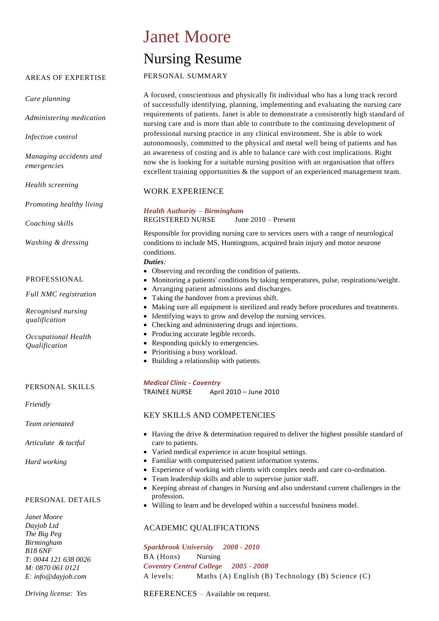# Janet Moore

# Nursing Resume

## PERSONAL SUMMARY

A focused, conscientious and physically fit individual who has a long track record of successfully identifying, planning, implementing and evaluating the nursing care requirements of patients. Janet is able to demonstrate a consistently high standard of nursing care and is more than able to contribute to the continuing development of professional nursing practice in any clinical environment. She is able to work autonomously, committed to the physical and metal well being of patients and has an awareness of costing and is able to balance care with cost implications. Right now she is looking for a suitable nursing position with an organisation that offers excellent training opportunities & the support of an experienced management team.

# WORK EXPERIENCE

*Health Authority – Birmingham*  REGISTERED NURSE June 2010 – Present

Responsible for providing nursing care to services users with a range of neurological conditions to include MS, Huntingtons, acquired brain injury and motor neurone conditions.

## *Duties:*

- Observing and recording the condition of patients.
- Monitoring a patients' conditions by taking temperatures, pulse, respirations/weight.
- Arranging patient admissions and discharges.
- Taking the handover from a previous shift.
- Making sure all equipment is sterilized and ready before procedures and treatments.
- Identifying ways to grow and develop the nursing services.
- Checking and administering drugs and injections.
- Producing accurate legible records.
- Responding quickly to emergencies.
- Prioritising a busy workload.
- Building a relationship with patients.

## *Medical Clinic - Coventry*

TRAINEE NURSE April 2010 – June 2010

# KEY SKILLS AND COMPETENCIES

- Having the drive & determination required to deliver the highest possible standard of care to patients.
- Varied medical experience in acute hospital settings.
- Familiar with computerised patient information systems.
- Experience of working with clients with complex needs and care co-ordination.
- Team leadership skills and able to supervise junior staff.
- Keeping abreast of changes in Nursing and also understand current challenges in the profession.
- Willing to learn and be developed within a successful business model.

# ACADEMIC QUALIFICATIONS

*Sparkbrook University 2008 - 2010* BA (Hons) Nursing *Coventry Central College 2005 - 2008* A levels: Maths (A) English (B) Technology (B) Science (C)

*Driving license: Yes*

REFERENCES – Available on request.

# AREAS OF EXPERTISE

*Care planning*

*Administering medication*

*Infection control*

*Managing accidents and emergencies*

*Health screening*

*Promoting healthy living*

*Coaching skills*

*Washing & dressing*

## PROFESSIONAL

*Full NMC registration*

*Recognised nursing qualification*

*Occupational Health Qualification*

PERSONAL SKILLS

*Friendly*

*Team orientated* 

*Articulate & tactful*

*Hard working* 

## PERSONAL DETAILS

*Janet Moore Dayjob Ltd The Big Peg Birmingham B18 6NF T: 0044 121 638 0026 M: 0870 061 0121 E: [info@dayjob.com](mailto:info@dayjob.com)*